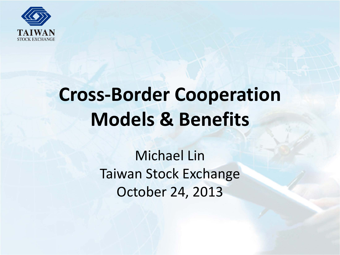

# **Cross-Border Cooperation Models & Benefits**

Michael Lin Taiwan Stock Exchange October 24, 2013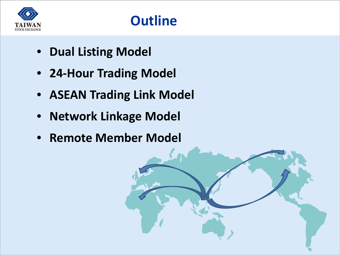

- **Dual Listing Model**
- **24-Hour Trading Model**
- **ASEAN Trading Link Model**
- **Network Linkage Model**
- **Remote Member Model**

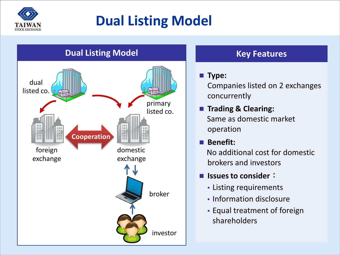

## **Dual Listing Model**



#### **Key Features**

#### **Type:**

Companies listed on 2 exchanges concurrently

**Trading & Clearing:** Same as domestic market operation

### **Benefit:**

No additional cost for domestic brokers and investors

#### **Issues to consider**:

- Listing requirements
- Information disclosure
- Equal treatment of foreign shareholders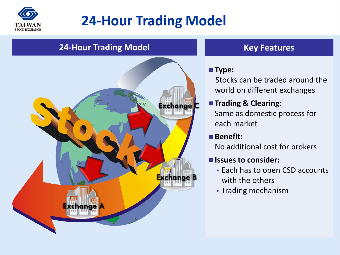

### **24-Hour Trading Model**

#### **24-Hour Trading Model Construction Constructs Key Features**



#### **Type:**

Stocks can be traded around the world on different exchanges

### **Trading & Clearing:**

Same as domestic process for each market

#### **Benefit:**

No additional cost for brokers

#### **Issues to consider:**

- Each has to open CSD accounts with the others
- Trading mechanism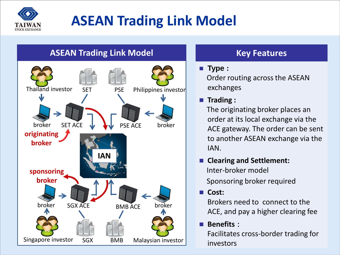

## **ASEAN Trading Link Model**



#### **Key Features**

#### **Type :**

Order routing across the ASEAN exchanges

#### **Trading :**

The originating broker places an order at its local exchange via the ACE gateway. The order can be sent to another ASEAN exchange via the IAN.

 **Clearing and Settlement:**  Inter-broker model

Sponsoring broker required

**Cost:**

Brokers need to connect to the ACE, and pay a higher clearing fee

**Benefits** :

Facilitates cross-border trading for investors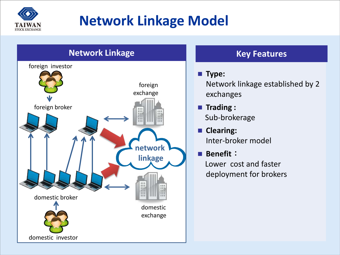

### **Network Linkage Model**



#### **Key Features**

#### **Type:**

Network linkage established by 2 exchanges

- **Trading :** Sub-brokerage
- **Clearing:** Inter-broker model
- **Benefit**: Lower cost and faster deployment for brokers